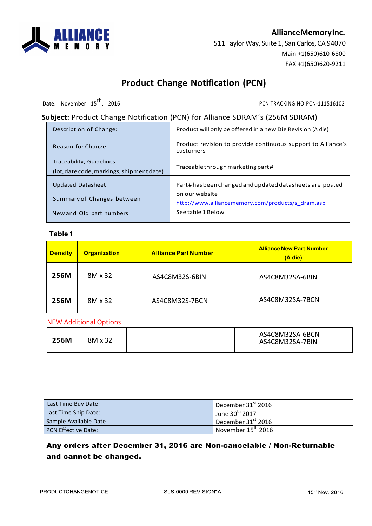

## **AllianceMemoryInc.**

511 Taylor Way, Suite 1, San Carlos, CA 94070 Main +1(650)610-6800 FAX +1(650)620-9211

# **Product Change Notification (PCN)**

**Date:** November 15<sup>th</sup>, 2016 **PCN TRACKING NO:PCN-111516102** PCN TRACKING NO:PCN-111516102

## **Subject:** Product Change Notification (PCN) for Alliance SDRAM's (256M SDRAM)

| Description of Change:                                                | Product will only be offered in a new Die Revision (A die)                |  |
|-----------------------------------------------------------------------|---------------------------------------------------------------------------|--|
| Reason for Change                                                     | Product revision to provide continuous support to Alliance's<br>customers |  |
| Traceability, Guidelines<br>(lot, date code, markings, shipment date) | Traceable through marketing part#                                         |  |
| <b>Updated Datasheet</b>                                              | Part#hasbeen changed and updated datasheets are posted                    |  |
| Summary of Changes between                                            | on our website<br>http://www.alliancememory.com/products/s_dram.asp       |  |
| New and Old part numbers                                              | See table 1 Below                                                         |  |

#### **Table 1**

| <b>Density</b> | <b>Organization</b> | <b>Alliance Part Number</b> | <b>Alliance New Part Number</b><br>$(A$ die) |
|----------------|---------------------|-----------------------------|----------------------------------------------|
| <b>256M</b>    | 8M x 32             | AS4C8M32S-6BIN              | AS4C8M32SA-6BIN                              |
| 256M           | 8M x 32             | AS4C8M32S-7BCN              | AS4C8M32SA-7BCN                              |

#### NEW Additional Options

| 256M | 8M x 32 | AS4C8M32SA-6BCN<br>AS4C8M32SA-7BIN |
|------|---------|------------------------------------|
|      |         |                                    |

| Last Time Buy Date:        | December $31st$ 2016                   |
|----------------------------|----------------------------------------|
| Last Time Ship Date:       | June 30 <sup>th</sup> 2017             |
| Sample Available Date      | December 31 <sup>st</sup> 2016         |
| <b>PCN Effective Date:</b> | $\vert$ November 15 <sup>th</sup> 2016 |

### Any orders after December 31, 2016 are Non-cancelable / Non-Returnable and cannot be changed.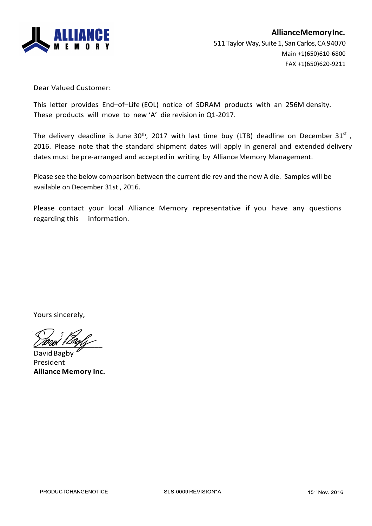

Dear Valued Customer:

This letter provides End–of–Life (EOL) notice of SDRAM products with an 256M density. These products will move to new 'A' die revision in Q1-2017.

The delivery deadline is June 30<sup>th</sup>, 2017 with last time buy (LTB) deadline on December 31<sup>st</sup>, 2016. Please note that the standard shipment dates will apply in general and extended delivery dates must be pre-arranged and accepted in writing by Alliance Memory Management.

Please see the below comparison between the current die rev and the new A die. Samples will be available on December 31st, 2016.

Please contact your local Alliance Memory representative if you have any questions regarding this information.

Yours sincerely,

 $\angle$ 

David Bagby President **Alliance Memory Inc.**